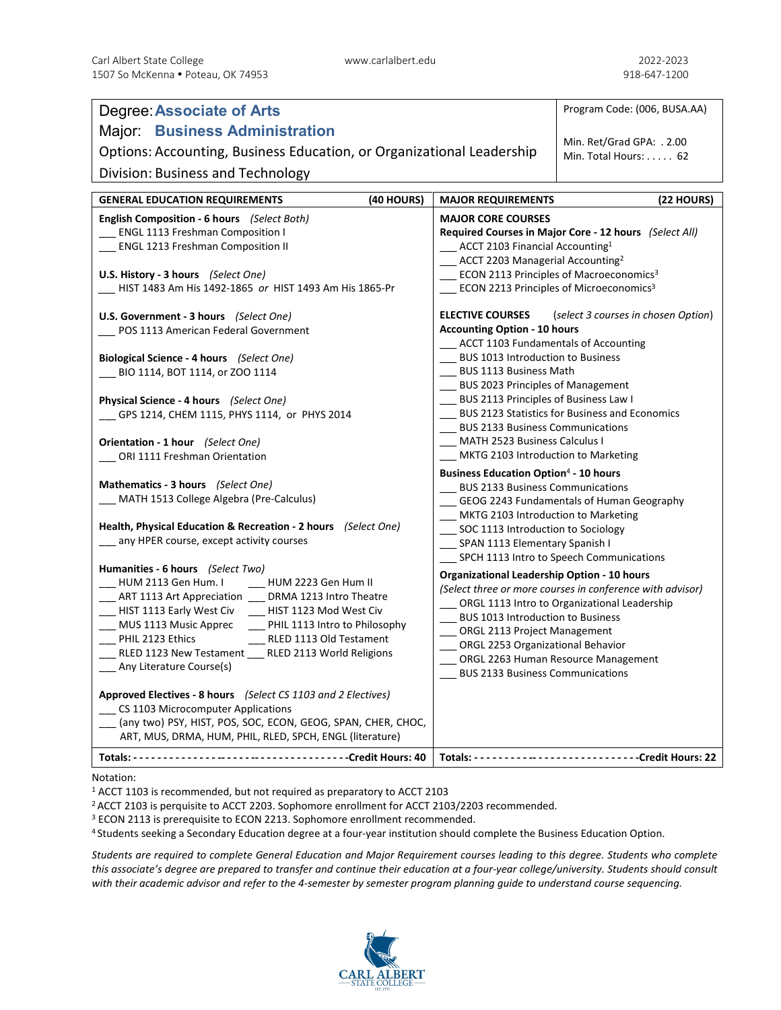| <b>Degree: Associate of Arts</b>                                                                    |                                                                                             | Program Code: (006, BUSA.AA)                              |
|-----------------------------------------------------------------------------------------------------|---------------------------------------------------------------------------------------------|-----------------------------------------------------------|
| <b>Major: Business Administration</b>                                                               |                                                                                             |                                                           |
| Options: Accounting, Business Education, or Organizational Leadership                               |                                                                                             | Min. Ret/Grad GPA: . 2.00<br>Min. Total Hours: 62         |
|                                                                                                     |                                                                                             |                                                           |
| Division: Business and Technology                                                                   |                                                                                             |                                                           |
| <b>GENERAL EDUCATION REQUIREMENTS</b><br>(40 HOURS)                                                 | <b>MAJOR REQUIREMENTS</b>                                                                   | (22 HOURS)                                                |
| English Composition - 6 hours (Select Both)                                                         | <b>MAJOR CORE COURSES</b>                                                                   |                                                           |
| __ ENGL 1113 Freshman Composition I                                                                 | Required Courses in Major Core - 12 hours (Select All)                                      |                                                           |
| ENGL 1213 Freshman Composition II                                                                   | ACCT 2103 Financial Accounting <sup>1</sup><br>ACCT 2203 Managerial Accounting <sup>2</sup> |                                                           |
| U.S. History - 3 hours (Select One)                                                                 |                                                                                             | ECON 2113 Principles of Macroeconomics <sup>3</sup>       |
| HIST 1483 Am His 1492-1865 or HIST 1493 Am His 1865-Pr                                              | ECON 2213 Principles of Microeconomics <sup>3</sup>                                         |                                                           |
|                                                                                                     |                                                                                             |                                                           |
| U.S. Government - 3 hours (Select One)                                                              | <b>ELECTIVE COURSES</b><br>(select 3 courses in chosen Option)                              |                                                           |
| POS 1113 American Federal Government                                                                | <b>Accounting Option - 10 hours</b><br><b>ACCT 1103 Fundamentals of Accounting</b>          |                                                           |
| Biological Science - 4 hours (Select One)                                                           | <b>BUS 1013 Introduction to Business</b>                                                    |                                                           |
| BIO 1114, BOT 1114, or ZOO 1114                                                                     | <b>BUS 1113 Business Math</b>                                                               |                                                           |
|                                                                                                     | BUS 2023 Principles of Management                                                           |                                                           |
| Physical Science - 4 hours (Select One)                                                             | BUS 2113 Principles of Business Law I                                                       |                                                           |
| GPS 1214, CHEM 1115, PHYS 1114, or PHYS 2014                                                        | <b>BUS 2123 Statistics for Business and Economics</b>                                       |                                                           |
|                                                                                                     | <b>BUS 2133 Business Communications</b>                                                     |                                                           |
| Orientation - 1 hour (Select One)<br>ORI 1111 Freshman Orientation                                  | <b>MATH 2523 Business Calculus I</b><br>MKTG 2103 Introduction to Marketing                 |                                                           |
|                                                                                                     |                                                                                             |                                                           |
| Mathematics - 3 hours (Select One)                                                                  | <b>Business Education Option4 - 10 hours</b><br><b>BUS 2133 Business Communications</b>     |                                                           |
| MATH 1513 College Algebra (Pre-Calculus)                                                            | GEOG 2243 Fundamentals of Human Geography                                                   |                                                           |
|                                                                                                     | MKTG 2103 Introduction to Marketing                                                         |                                                           |
| Health, Physical Education & Recreation - 2 hours (Select One)                                      | __ SOC 1113 Introduction to Sociology                                                       |                                                           |
| any HPER course, except activity courses                                                            | SPAN 1113 Elementary Spanish I                                                              |                                                           |
| Humanities - 6 hours (Select Two)                                                                   |                                                                                             | SPCH 1113 Intro to Speech Communications                  |
| HUM 2113 Gen Hum. I _____ HUM 2223 Gen Hum II                                                       | <b>Organizational Leadership Option - 10 hours</b>                                          | (Select three or more courses in conference with advisor) |
| _ ART 1113 Art Appreciation ___ DRMA 1213 Intro Theatre                                             |                                                                                             | ORGL 1113 Intro to Organizational Leadership              |
| HIST 1113 Early West Civ<br>HIST 1123 Mod West Civ                                                  | BUS 1013 Introduction to Business                                                           |                                                           |
| MUS 1113 Music Apprec<br>__ PHIL 1113 Intro to Philosophy                                           | ORGL 2113 Project Management                                                                |                                                           |
| PHIL 2123 Ethics<br>RLED 1113 Old Testament<br>RLED 1123 New Testament __ RLED 2113 World Religions | ORGL 2253 Organizational Behavior                                                           |                                                           |
| _ Any Literature Course(s)                                                                          |                                                                                             | ORGL 2263 Human Resource Management                       |
|                                                                                                     | <b>BUS 2133 Business Communications</b>                                                     |                                                           |
| Approved Electives - 8 hours (Select CS 1103 and 2 Electives)                                       |                                                                                             |                                                           |
| CS 1103 Microcomputer Applications                                                                  |                                                                                             |                                                           |
| (any two) PSY, HIST, POS, SOC, ECON, GEOG, SPAN, CHER, CHOC,                                        |                                                                                             |                                                           |
| ART, MUS, DRMA, HUM, PHIL, RLED, SPCH, ENGL (literature)                                            |                                                                                             |                                                           |
|                                                                                                     |                                                                                             |                                                           |

Notation:

<sup>1</sup> ACCT 1103 is recommended, but not required as preparatory to ACCT 2103

<sup>2</sup> ACCT 2103 is perquisite to ACCT 2203. Sophomore enrollment for ACCT 2103/2203 recommended.<br><sup>3</sup> ECON 2113 is prerequisite to ECON 2213. Sophomore enrollment recommended.

<sup>4</sup> Students seeking a Secondary Education degree at a four-year institution should complete the Business Education Option.

*Students are required to complete General Education and Major Requirement courses leading to this degree. Students who complete this associate's degree are prepared to transfer and continue their education at a four-year college/university. Students should consult with their academic advisor and refer to the 4-semester by semester program planning guide to understand course sequencing.*